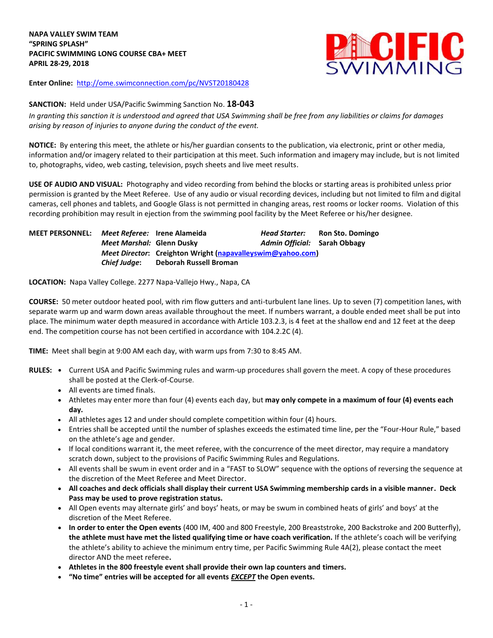**NAPA VALLEY SWIM TEAM "SPRING SPLASH" PACIFIC SWIMMING LONG COURSE CBA+ MEET APRIL 28-29, 2018**



**Enter Online:** <http://ome.swimconnection.com/pc/NVST20180428>

## **SANCTION:** Held under USA/Pacific Swimming Sanction No. **18-043**

*In granting this sanction it is understood and agreed that USA Swimming shall be free from any liabilities or claims for damages arising by reason of injuries to anyone during the conduct of the event.*

**NOTICE:** By entering this meet, the athlete or his/her guardian consents to the publication, via electronic, print or other media, information and/or imagery related to their participation at this meet. Such information and imagery may include, but is not limited to, photographs, video, web casting, television, psych sheets and live meet results.

**USE OF AUDIO AND VISUAL:** Photography and video recording from behind the blocks or starting areas is prohibited unless prior permission is granted by the Meet Referee. Use of any audio or visual recording devices, including but not limited to film and digital cameras, cell phones and tablets, and Google Glass is not permitted in changing areas, rest rooms or locker rooms. Violation of this recording prohibition may result in ejection from the swimming pool facility by the Meet Referee or his/her designee.

| <b>MEET PERSONNEL:</b> |                           | Meet Referee: Irene Alameida                                      | Head Starter:                | Ron Sto. Domingo |  |  |  |  |
|------------------------|---------------------------|-------------------------------------------------------------------|------------------------------|------------------|--|--|--|--|
|                        | Meet Marshal: Glenn Dusky |                                                                   | Admin Official: Sarah Obbagy |                  |  |  |  |  |
|                        |                           | <i>Meet Director:</i> Creighton Wright (napavalleyswim@yahoo.com) |                              |                  |  |  |  |  |
|                        | Chief Judae:              | Deborah Russell Broman                                            |                              |                  |  |  |  |  |

**LOCATION:** Napa Valley College. 2277 Napa-Vallejo Hwy., Napa, CA

**COURSE:** 50 meter outdoor heated pool, with rim flow gutters and anti-turbulent lane lines. Up to seven (7) competition lanes, with separate warm up and warm down areas available throughout the meet. If numbers warrant, a double ended meet shall be put into place. The minimum water depth measured in accordance with Article 103.2.3, is 4 feet at the shallow end and 12 feet at the deep end. The competition course has not been certified in accordance with 104.2.2C (4).

**TIME:** Meet shall begin at 9:00 AM each day, with warm ups from 7:30 to 8:45 AM.

- **RULES: •** Current USA and Pacific Swimming rules and warm-up procedures shall govern the meet. A copy of these procedures shall be posted at the Clerk-of-Course.
	- All events are timed finals.
	- Athletes may enter more than four (4) events each day, but **may only compete in a maximum of four (4) events each day.**
	- All athletes ages 12 and under should complete competition within four (4) hours.
	- Entries shall be accepted until the number of splashes exceeds the estimated time line, per the "Four-Hour Rule," based on the athlete's age and gender.
	- If local conditions warrant it, the meet referee, with the concurrence of the meet director, may require a mandatory scratch down, subject to the provisions of Pacific Swimming Rules and Regulations.
	- All events shall be swum in event order and in a "FAST to SLOW" sequence with the options of reversing the sequence at the discretion of the Meet Referee and Meet Director.
	- **All coaches and deck officials shall display their current USA Swimming membership cards in a visible manner. Deck Pass may be used to prove registration status.**
	- All Open events may alternate girls' and boys' heats, or may be swum in combined heats of girls' and boys' at the discretion of the Meet Referee.
	- **In order to enter the Open events** (400 IM, 400 and 800 Freestyle, 200 Breaststroke, 200 Backstroke and 200 Butterfly), **the athlete must have met the listed qualifying time or have coach verification.** If the athlete's coach will be verifying the athlete's ability to achieve the minimum entry time, per Pacific Swimming Rule 4A(2), please contact the meet director AND the meet referee**.**
	- **Athletes in the 800 freestyle event shall provide their own lap counters and timers.**
	- **"No time" entries will be accepted for all events** *EXCEPT* **the Open events.**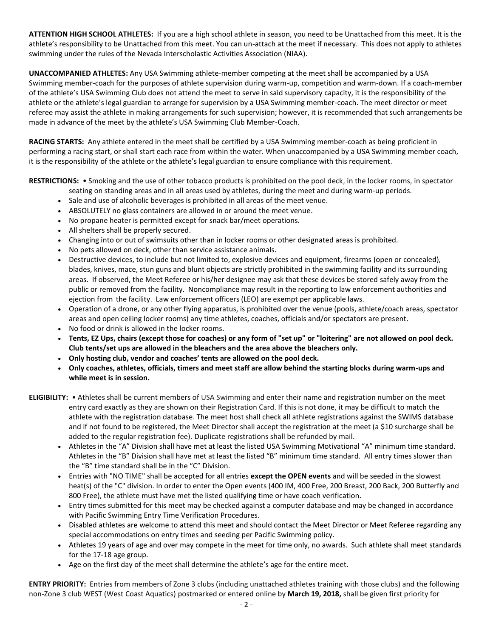**ATTENTION HIGH SCHOOL ATHLETES:** If you are a high school athlete in season, you need to be Unattached from this meet. It is the athlete's responsibility to be Unattached from this meet. You can un-attach at the meet if necessary. This does not apply to athletes swimming under the rules of the Nevada Interscholastic Activities Association (NIAA).

**UNACCOMPANIED ATHLETES:** Any USA Swimming athlete-member competing at the meet shall be accompanied by a USA Swimming member-coach for the purposes of athlete supervision during warm-up, competition and warm-down. If a coach-member of the athlete's USA Swimming Club does not attend the meet to serve in said supervisory capacity, it is the responsibility of the athlete or the athlete's legal guardian to arrange for supervision by a USA Swimming member-coach. The meet director or meet referee may assist the athlete in making arrangements for such supervision; however, it is recommended that such arrangements be made in advance of the meet by the athlete's USA Swimming Club Member-Coach.

**RACING STARTS:** Any athlete entered in the meet shall be certified by a USA Swimming member-coach as being proficient in performing a racing start, or shall start each race from within the water. When unaccompanied by a USA Swimming member coach, it is the responsibility of the athlete or the athlete's legal guardian to ensure compliance with this requirement.

**RESTRICTIONS:** • Smoking and the use of other tobacco products is prohibited on the pool deck, in the locker rooms, in spectator

- seating on standing areas and in all areas used by athletes, during the meet and during warm-up periods.
- Sale and use of alcoholic beverages is prohibited in all areas of the meet venue.
- ABSOLUTELY no glass containers are allowed in or around the meet venue.
- No propane heater is permitted except for snack bar/meet operations.
- All shelters shall be properly secured.
- Changing into or out of swimsuits other than in locker rooms or other designated areas is prohibited.
- No pets allowed on deck, other than service assistance animals.
- Destructive devices, to include but not limited to, explosive devices and equipment, firearms (open or concealed), blades, knives, mace, stun guns and blunt objects are strictly prohibited in the swimming facility and its surrounding areas. If observed, the Meet Referee or his/her designee may ask that these devices be stored safely away from the public or removed from the facility. Noncompliance may result in the reporting to law enforcement authorities and ejection from the facility. Law enforcement officers (LEO) are exempt per applicable laws.
- Operation of a drone, or any other flying apparatus, is prohibited over the venue (pools, athlete/coach areas, spectator areas and open ceiling locker rooms) any time athletes, coaches, officials and/or spectators are present.
- No food or drink is allowed in the locker rooms.
- **Tents, EZ Ups, chairs (except those for coaches) or any form of "set up" or "loitering" are not allowed on pool deck. Club tents/set ups are allowed in the bleachers and the area above the bleachers only.**
- **Only hosting club, vendor and coaches' tents are allowed on the pool deck.**
- **Only coaches, athletes, officials, timers and meet staff are allow behind the starting blocks during warm-ups and while meet is in session.**
- **ELIGIBILITY:** Athletes shall be current members of USA Swimming and enter their name and registration number on the meet entry card exactly as they are shown on their Registration Card. If this is not done, it may be difficult to match the athlete with the registration database. The meet host shall check all athlete registrations against the SWIMS database and if not found to be registered, the Meet Director shall accept the registration at the meet (a \$10 surcharge shall be added to the regular registration fee). Duplicate registrations shall be refunded by mail.
	- Athletes in the "A" Division shall have met at least the listed USA Swimming Motivational "A" minimum time standard. Athletes in the "B" Division shall have met at least the listed "B" minimum time standard. All entry times slower than the "B" time standard shall be in the "C" Division.
	- Entries with "NO TIME" shall be accepted for all entries **except the OPEN events** and will be seeded in the slowest heat(s) of the "C" division. In order to enter the Open events (400 IM, 400 Free, 200 Breast, 200 Back, 200 Butterfly and 800 Free), the athlete must have met the listed qualifying time or have coach verification.
	- Entry times submitted for this meet may be checked against a computer database and may be changed in accordance with Pacific Swimming Entry Time Verification Procedures.
	- Disabled athletes are welcome to attend this meet and should contact the Meet Director or Meet Referee regarding any special accommodations on entry times and seeding per Pacific Swimming policy.
	- Athletes 19 years of age and over may compete in the meet for time only, no awards. Such athlete shall meet standards for the 17-18 age group.
	- Age on the first day of the meet shall determine the athlete's age for the entire meet.

**ENTRY PRIORITY:** Entries from members of Zone 3 clubs (including unattached athletes training with those clubs) and the following non-Zone 3 club WEST (West Coast Aquatics) postmarked or entered online by **March 19, 2018,** shall be given first priority for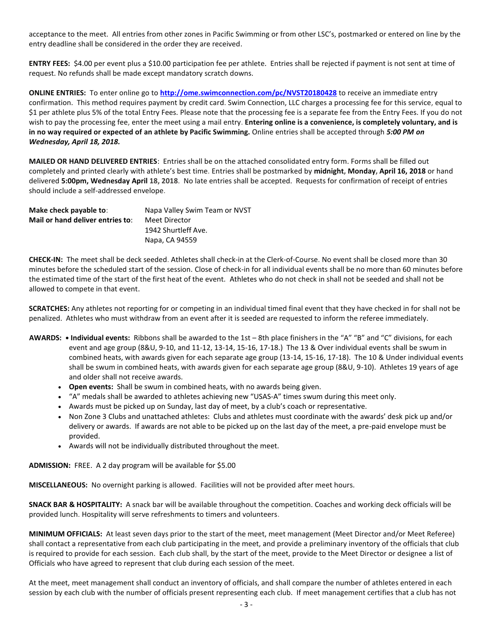acceptance to the meet. All entries from other zones in Pacific Swimming or from other LSC's, postmarked or entered on line by the entry deadline shall be considered in the order they are received.

**ENTRY FEES:** \$4.00 per event plus a \$10.00 participation fee per athlete. Entries shall be rejected if payment is not sent at time of request. No refunds shall be made except mandatory scratch downs.

**ONLINE ENTRIES:** To enter online go to **<http://ome.swimconnection.com/pc/NVST20180428>** to receive an immediate entry confirmation. This method requires payment by credit card. Swim Connection, LLC charges a processing fee for this service, equal to \$1 per athlete plus 5% of the total Entry Fees. Please note that the processing fee is a separate fee from the Entry Fees. If you do not wish to pay the processing fee, enter the meet using a mail entry. **Entering online is a convenience, is completely voluntary, and is in no way required or expected of an athlete by Pacific Swimming.** Online entries shall be accepted through *5:00 PM on Wednesday, April 18, 2018.*

**MAILED OR HAND DELIVERED ENTRIES**: Entries shall be on the attached consolidated entry form. Forms shall be filled out completely and printed clearly with athlete's best time. Entries shall be postmarked by **midnight, Monday, April 16, 2018** or hand delivered **5:00pm, Wednesday April 18, 2018**. No late entries shall be accepted. Requests for confirmation of receipt of entries should include a self-addressed envelope.

| Make check payable to:           | Napa Valley Swim Team or NVST |  |  |
|----------------------------------|-------------------------------|--|--|
| Mail or hand deliver entries to: | Meet Director                 |  |  |
|                                  | 1942 Shurtleff Ave.           |  |  |
|                                  | Napa, CA 94559                |  |  |

**CHECK-IN:** The meet shall be deck seeded. Athletes shall check-in at the Clerk-of-Course. No event shall be closed more than 30 minutes before the scheduled start of the session. Close of check-in for all individual events shall be no more than 60 minutes before the estimated time of the start of the first heat of the event. Athletes who do not check in shall not be seeded and shall not be allowed to compete in that event.

**SCRATCHES:** Any athletes not reporting for or competing in an individual timed final event that they have checked in for shall not be penalized. Athletes who must withdraw from an event after it is seeded are requested to inform the referee immediately.

- **AWARDS: • Individual events:** Ribbons shall be awarded to the 1st 8th place finishers in the "A" "B" and "C" divisions, for each event and age group (8&U, 9-10, and 11-12, 13-14, 15-16, 17-18.) The 13 & Over individual events shall be swum in combined heats, with awards given for each separate age group (13-14, 15-16, 17-18). The 10 & Under individual events shall be swum in combined heats, with awards given for each separate age group (8&U, 9-10). Athletes 19 years of age and older shall not receive awards.
	- **Open events:** Shall be swum in combined heats, with no awards being given.
	- "A" medals shall be awarded to athletes achieving new "USAS-A" times swum during this meet only.
	- Awards must be picked up on Sunday, last day of meet, by a club's coach or representative.
	- Non Zone 3 Clubs and unattached athletes: Clubs and athletes must coordinate with the awards' desk pick up and/or delivery or awards. If awards are not able to be picked up on the last day of the meet, a pre-paid envelope must be provided.
	- Awards will not be individually distributed throughout the meet.

**ADMISSION:** FREE. A 2 day program will be available for \$5.00

**MISCELLANEOUS:** No overnight parking is allowed. Facilities will not be provided after meet hours.

**SNACK BAR & HOSPITALITY:** A snack bar will be available throughout the competition. Coaches and working deck officials will be provided lunch. Hospitality will serve refreshments to timers and volunteers.

**MINIMUM OFFICIALS:** At least seven days prior to the start of the meet, meet management (Meet Director and/or Meet Referee) shall contact a representative from each club participating in the meet, and provide a preliminary inventory of the officials that club is required to provide for each session. Each club shall, by the start of the meet, provide to the Meet Director or designee a list of Officials who have agreed to represent that club during each session of the meet.

At the meet, meet management shall conduct an inventory of officials, and shall compare the number of athletes entered in each session by each club with the number of officials present representing each club. If meet management certifies that a club has not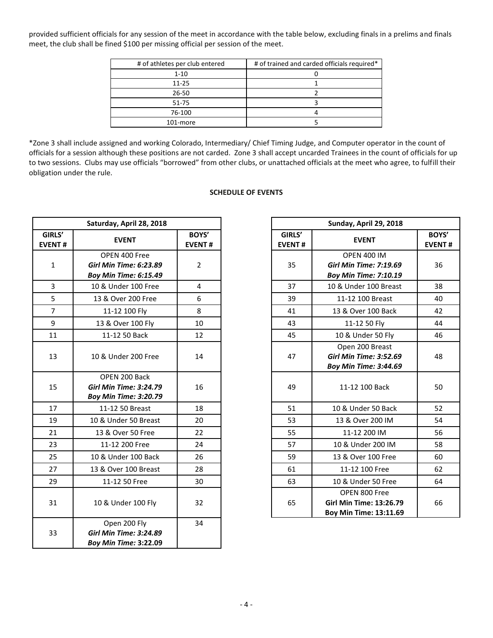provided sufficient officials for any session of the meet in accordance with the table below, excluding finals in a prelims and finals meet, the club shall be fined \$100 per missing official per session of the meet.

| # of athletes per club entered | # of trained and carded officials required* |
|--------------------------------|---------------------------------------------|
| $1 - 10$                       |                                             |
| $11 - 25$                      |                                             |
| 26-50                          |                                             |
| 51-75                          |                                             |
| 76-100                         |                                             |
| 101-more                       |                                             |

\*Zone 3 shall include assigned and working Colorado, Intermediary/ Chief Timing Judge, and Computer operator in the count of officials for a session although these positions are not carded. Zone 3 shall accept uncarded Trainees in the count of officials for up to two sessions. Clubs may use officials "borrowed" from other clubs, or unattached officials at the meet who agree, to fulfill their obligation under the rule.

## **SCHEDULE OF EVENTS**

|                         | Saturday, April 28, 2018                                                       |                        |                         | Sunday, April 29, 2018                                                              |                           |
|-------------------------|--------------------------------------------------------------------------------|------------------------|-------------------------|-------------------------------------------------------------------------------------|---------------------------|
| GIRLS'<br><b>EVENT#</b> | <b>EVENT</b>                                                                   | BOYS'<br><b>EVENT#</b> | GIRLS'<br><b>EVENT#</b> | <b>EVENT</b>                                                                        | <b>BOY</b><br><b>EVEN</b> |
| $\mathbf{1}$            | OPEN 400 Free<br><b>Girl Min Time: 6:23.89</b><br><b>Boy Min Time: 6:15.49</b> | $\overline{2}$         | 35                      | <b>OPEN 400 IM</b><br><b>Girl Min Time: 7:19.69</b><br><b>Boy Min Time: 7:10.19</b> | 36                        |
| 3                       | 10 & Under 100 Free                                                            | 4                      | 37                      | 10 & Under 100 Breast                                                               | 38                        |
| 5                       | 13 & Over 200 Free                                                             | 6                      | 39                      | 11-12 100 Breast                                                                    | 40                        |
| $\overline{7}$          | 11-12 100 Fly                                                                  | 8                      | 41                      | 13 & Over 100 Back                                                                  | 42                        |
| 9                       | 13 & Over 100 Fly                                                              | 10                     | 43                      | 11-12 50 Fly                                                                        | 44                        |
| 11                      | 11-12 50 Back                                                                  | 12                     | 45                      | 10 & Under 50 Fly                                                                   | 46                        |
| 13                      | 10 & Under 200 Free                                                            | 14                     | 47                      | Open 200 Breast<br><b>Girl Min Time: 3:52.69</b><br><b>Boy Min Time: 3:44.69</b>    | 48                        |
| 15                      | OPEN 200 Back<br><b>Girl Min Time: 3:24.79</b><br><b>Boy Min Time: 3:20.79</b> | 16                     | 49                      | 11-12 100 Back                                                                      | 50                        |
| 17                      | 11-12 50 Breast                                                                | 18                     | 51                      | 10 & Under 50 Back                                                                  | 52                        |
| 19                      | 10 & Under 50 Breast                                                           | 20                     | 53                      | 13 & Over 200 IM                                                                    | 54                        |
| 21                      | 13 & Over 50 Free                                                              | 22                     | 55                      | 11-12 200 IM                                                                        | 56                        |
| 23                      | 11-12 200 Free                                                                 | 24                     | 57                      | 10 & Under 200 IM                                                                   | 58                        |
| 25                      | 10 & Under 100 Back                                                            | 26                     | 59                      | 13 & Over 100 Free                                                                  | 60                        |
| 27                      | 13 & Over 100 Breast                                                           | 28                     | 61                      | 11-12 100 Free                                                                      | 62                        |
| 29                      | 11-12 50 Free                                                                  | 30                     | 63                      | 10 & Under 50 Free                                                                  | 64                        |
| 31                      | 10 & Under 100 Fly                                                             | 32                     | 65                      | OPEN 800 Free<br>Girl Min Time: 13:26.79<br>Boy Min Time: 13:11.69                  | 66                        |
| 33                      | Open 200 Fly<br><b>Girl Min Time: 3:24.89</b><br><b>Boy Min Time: 3:22.09</b>  | 34                     |                         |                                                                                     |                           |

|                    | Saturday, April 28, 2018                                                       |                        | Sunday, April 29, 2018  |                                                                                     |                        |  |  |
|--------------------|--------------------------------------------------------------------------------|------------------------|-------------------------|-------------------------------------------------------------------------------------|------------------------|--|--|
| <b>RLS'</b><br>NT# | <b>EVENT</b>                                                                   | BOYS'<br><b>EVENT#</b> | GIRLS'<br><b>EVENT#</b> | <b>EVENT</b>                                                                        | BOYS'<br><b>EVENT#</b> |  |  |
| $\mathbf{1}$       | OPEN 400 Free<br><b>Girl Min Time: 6:23.89</b><br><b>Boy Min Time: 6:15.49</b> | $\overline{2}$         | 35                      | <b>OPEN 400 IM</b><br><b>Girl Min Time: 7:19.69</b><br><b>Boy Min Time: 7:10.19</b> | 36                     |  |  |
| 3                  | 10 & Under 100 Free                                                            | $\overline{4}$         | 37                      | 10 & Under 100 Breast                                                               | 38                     |  |  |
| 5                  | 13 & Over 200 Free                                                             | 6                      | 39                      | 11-12 100 Breast                                                                    | 40                     |  |  |
| $\overline{7}$     | 11-12 100 Fly                                                                  | 8                      | 41                      | 13 & Over 100 Back                                                                  | 42                     |  |  |
| 9                  | 13 & Over 100 Fly                                                              | 10                     | 43                      | 11-12 50 Fly                                                                        | 44                     |  |  |
| $\overline{1}$     | 11-12 50 Back                                                                  | 12                     | 45                      | 10 & Under 50 Fly                                                                   | 46                     |  |  |
| L3                 | 10 & Under 200 Free                                                            | 14                     | 47                      | Open 200 Breast<br><b>Girl Min Time: 3:52.69</b><br><b>Boy Min Time: 3:44.69</b>    | 48                     |  |  |
| L5                 | OPEN 200 Back<br><b>Girl Min Time: 3:24.79</b><br><b>Boy Min Time: 3:20.79</b> | 16                     | 49                      | 11-12 100 Back                                                                      | 50                     |  |  |
| $\overline{17}$    | 11-12 50 Breast                                                                | 18                     | 51                      | 10 & Under 50 Back                                                                  | 52                     |  |  |
| L9                 | 10 & Under 50 Breast                                                           | 20                     | 53                      | 13 & Over 200 IM                                                                    | 54                     |  |  |
| $\overline{21}$    | 13 & Over 50 Free                                                              | 22                     | 55                      | 11-12 200 IM                                                                        | 56                     |  |  |
| $^{23}$            | 11-12 200 Free                                                                 | 24                     | 57                      | 10 & Under 200 IM                                                                   | 58                     |  |  |
| 25                 | 10 & Under 100 Back                                                            | 26                     | 59                      | 13 & Over 100 Free                                                                  | 60                     |  |  |
| 27                 | 13 & Over 100 Breast                                                           | 28                     | 61                      | 11-12 100 Free                                                                      | 62                     |  |  |
| 29                 | 11-12 50 Free                                                                  | 30                     | 63                      | 10 & Under 50 Free                                                                  | 64                     |  |  |
| 31                 | 10 & Under 100 Fly                                                             | 32                     | 65                      | OPEN 800 Free<br><b>Girl Min Time: 13:26.79</b><br>Boy Min Time: 13:11.69           | 66                     |  |  |